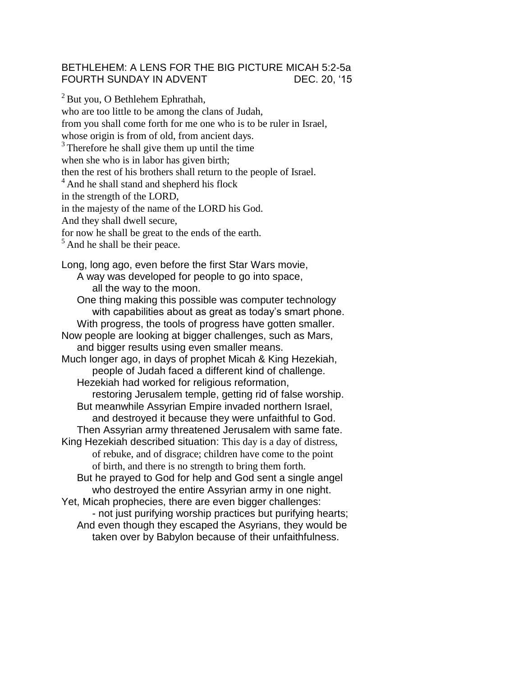## BETHLEHEM: A LENS FOR THE BIG PICTURE MICAH 5:2-5a FOURTH SUNDAY IN ADVENT DEC. 20, '15

 $2$  But you, O Bethlehem Ephrathah, who are too little to be among the clans of Judah, from you shall come forth for me one who is to be ruler in Israel, whose origin is from of old, from ancient days. <sup>3</sup> Therefore he shall give them up until the time when she who is in labor has given birth; then the rest of his brothers shall return to the people of Israel. <sup>4</sup> And he shall stand and shepherd his flock in the strength of the LORD, in the majesty of the name of the LORD his God. And they shall dwell secure, for now he shall be great to the ends of the earth.  $<sup>5</sup>$  And he shall be their peace.</sup> Long, long ago, even before the first Star Wars movie, A way was developed for people to go into space, all the way to the moon. One thing making this possible was computer technology with capabilities about as great as today's smart phone. With progress, the tools of progress have gotten smaller. Now people are looking at bigger challenges, such as Mars, and bigger results using even smaller means. Much longer ago, in days of prophet Micah & King Hezekiah, people of Judah faced a different kind of challenge. Hezekiah had worked for religious reformation, restoring Jerusalem temple, getting rid of false worship. But meanwhile Assyrian Empire invaded northern Israel, and destroyed it because they were unfaithful to God. Then Assyrian army threatened Jerusalem with same fate. King Hezekiah described situation: This day is a day of distress, of rebuke, and of disgrace; children have come to the point of birth, and there is no strength to bring them forth. But he prayed to God for help and God sent a single angel who destroyed the entire Assyrian army in one night. Yet, Micah prophecies, there are even bigger challenges: - not just purifying worship practices but purifying hearts; And even though they escaped the Asyrians, they would be taken over by Babylon because of their unfaithfulness.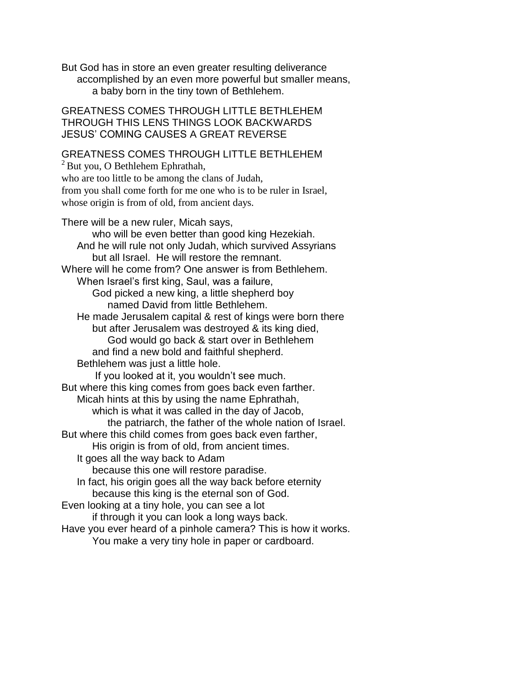But God has in store an even greater resulting deliverance accomplished by an even more powerful but smaller means, a baby born in the tiny town of Bethlehem.

GREATNESS COMES THROUGH LITTLE BETHLEHEM THROUGH THIS LENS THINGS LOOK BACKWARDS JESUS' COMING CAUSES A GREAT REVERSE

## GREATNESS COMES THROUGH LITTLE BETHLEHEM

 $2$ But you, O Bethlehem Ephrathah, who are too little to be among the clans of Judah, from you shall come forth for me one who is to be ruler in Israel, whose origin is from of old, from ancient days.

There will be a new ruler, Micah says, who will be even better than good king Hezekiah. And he will rule not only Judah, which survived Assyrians but all Israel. He will restore the remnant. Where will he come from? One answer is from Bethlehem. When Israel's first king, Saul, was a failure, God picked a new king, a little shepherd boy named David from little Bethlehem. He made Jerusalem capital & rest of kings were born there but after Jerusalem was destroyed & its king died, God would go back & start over in Bethlehem and find a new bold and faithful shepherd. Bethlehem was just a little hole. If you looked at it, you wouldn't see much. But where this king comes from goes back even farther. Micah hints at this by using the name Ephrathah, which is what it was called in the day of Jacob, the patriarch, the father of the whole nation of Israel. But where this child comes from goes back even farther, His origin is from of old, from ancient times. It goes all the way back to Adam because this one will restore paradise. In fact, his origin goes all the way back before eternity because this king is the eternal son of God. Even looking at a tiny hole, you can see a lot if through it you can look a long ways back. Have you ever heard of a pinhole camera? This is how it works. You make a very tiny hole in paper or cardboard.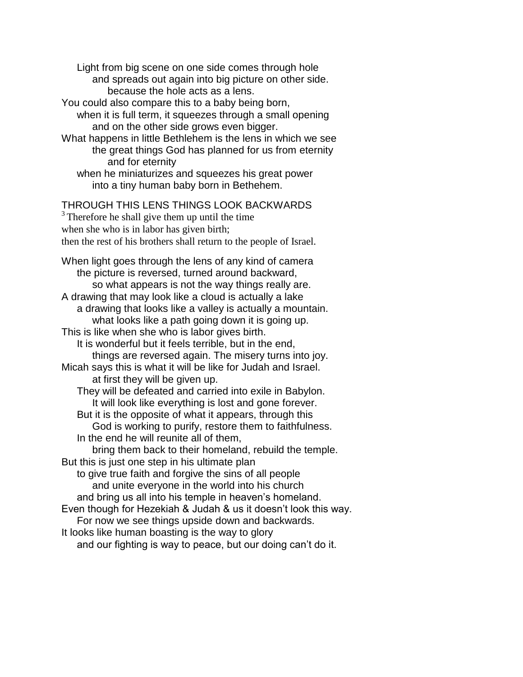Light from big scene on one side comes through hole and spreads out again into big picture on other side. because the hole acts as a lens.

You could also compare this to a baby being born,

when it is full term, it squeezes through a small opening and on the other side grows even bigger.

What happens in little Bethlehem is the lens in which we see the great things God has planned for us from eternity and for eternity

when he miniaturizes and squeezes his great power into a tiny human baby born in Bethehem.

## THROUGH THIS LENS THINGS LOOK BACKWARDS

<sup>3</sup> Therefore he shall give them up until the time

when she who is in labor has given birth;

then the rest of his brothers shall return to the people of Israel.

When light goes through the lens of any kind of camera the picture is reversed, turned around backward, so what appears is not the way things really are. A drawing that may look like a cloud is actually a lake a drawing that looks like a valley is actually a mountain. what looks like a path going down it is going up. This is like when she who is labor gives birth. It is wonderful but it feels terrible, but in the end, things are reversed again. The misery turns into joy. Micah says this is what it will be like for Judah and Israel. at first they will be given up. They will be defeated and carried into exile in Babylon. It will look like everything is lost and gone forever. But it is the opposite of what it appears, through this God is working to purify, restore them to faithfulness. In the end he will reunite all of them, bring them back to their homeland, rebuild the temple. But this is just one step in his ultimate plan to give true faith and forgive the sins of all people and unite everyone in the world into his church and bring us all into his temple in heaven's homeland. Even though for Hezekiah & Judah & us it doesn't look this way. For now we see things upside down and backwards. It looks like human boasting is the way to glory and our fighting is way to peace, but our doing can't do it.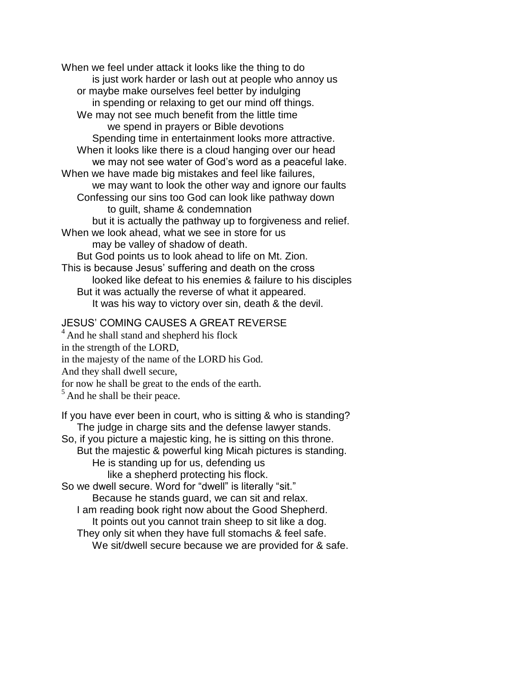When we feel under attack it looks like the thing to do is just work harder or lash out at people who annoy us or maybe make ourselves feel better by indulging in spending or relaxing to get our mind off things. We may not see much benefit from the little time we spend in prayers or Bible devotions Spending time in entertainment looks more attractive. When it looks like there is a cloud hanging over our head we may not see water of God's word as a peaceful lake. When we have made big mistakes and feel like failures, we may want to look the other way and ignore our faults Confessing our sins too God can look like pathway down to guilt, shame & condemnation but it is actually the pathway up to forgiveness and relief. When we look ahead, what we see in store for us may be valley of shadow of death. But God points us to look ahead to life on Mt. Zion. This is because Jesus' suffering and death on the cross looked like defeat to his enemies & failure to his disciples But it was actually the reverse of what it appeared. It was his way to victory over sin, death & the devil.

## JESUS' COMING CAUSES A GREAT REVERSE

<sup>4</sup> And he shall stand and shepherd his flock in the strength of the LORD, in the majesty of the name of the LORD his God.

And they shall dwell secure,

for now he shall be great to the ends of the earth.

 $<sup>5</sup>$  And he shall be their peace.</sup>

If you have ever been in court, who is sitting & who is standing? The judge in charge sits and the defense lawyer stands. So, if you picture a majestic king, he is sitting on this throne. But the majestic & powerful king Micah pictures is standing. He is standing up for us, defending us like a shepherd protecting his flock. So we dwell secure. Word for "dwell" is literally "sit." Because he stands guard, we can sit and relax. I am reading book right now about the Good Shepherd. It points out you cannot train sheep to sit like a dog.

They only sit when they have full stomachs & feel safe.

We sit/dwell secure because we are provided for & safe.